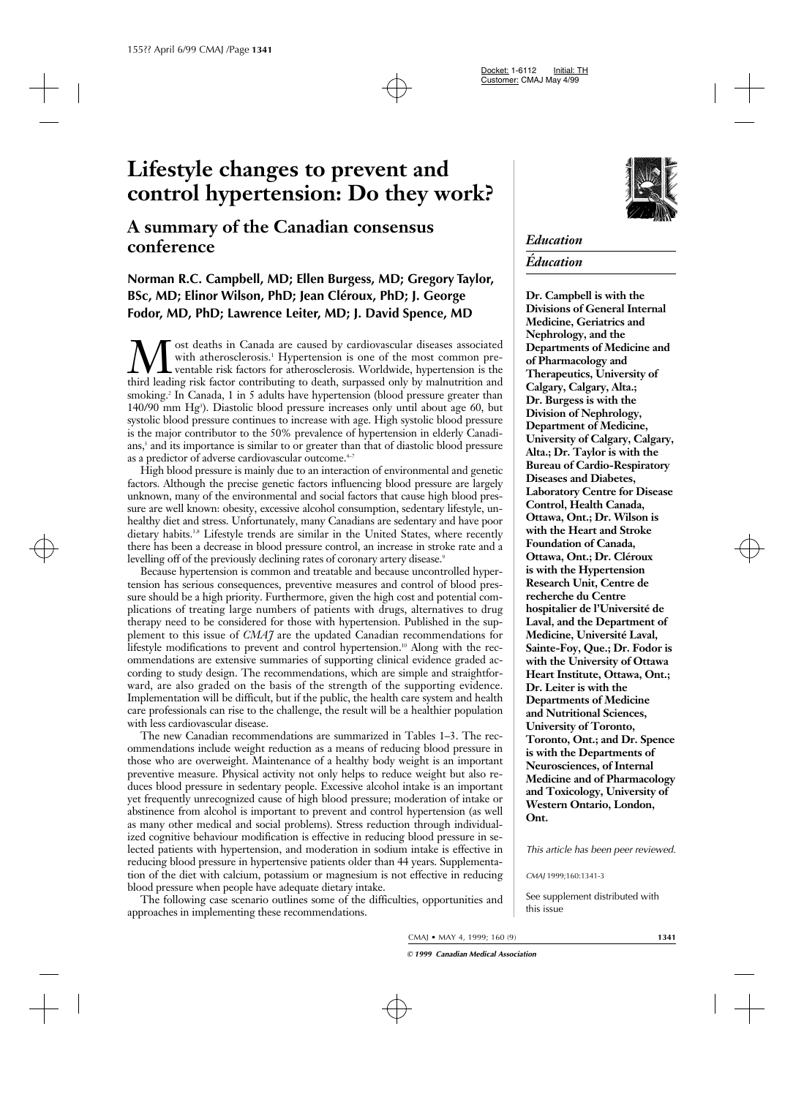# **Lifestyle changes to prevent and control hypertension: Do they work?**

## **A summary of the Canadian consensus conference**

### **Norman R.C. Campbell, MD; Ellen Burgess, MD; Gregory Taylor, BSc, MD; Elinor Wilson, PhD; Jean Cléroux, PhD; J. George Fodor, MD, PhD; Lawrence Leiter, MD; J. David Spence, MD**

**M** ost deaths in Canada are caused by cardiovascular diseases associated with atherosclerosis.<sup>1</sup> Hypertension is one of the most common pre-<br>third leading risk factors for atherosclerosis. Worldwide, hypertension is the<br> with atherosclerosis.<sup>1</sup> Hypertension is one of the most common preventable risk factors for atherosclerosis. Worldwide, hypertension is the third leading risk factor contributing to death, surpassed only by malnutrition and smoking.<sup>2</sup> In Canada, 1 in 5 adults have hypertension (blood pressure greater than 140/90 mm Hg<sup>3</sup>). Diastolic blood pressure increases only until about age 60, but systolic blood pressure continues to increase with age. High systolic blood pressure is the major contributor to the 50% prevalence of hypertension in elderly Canadians,<sup>3</sup> and its importance is similar to or greater than that of diastolic blood pressure as a predictor of adverse cardiovascular outcome.<sup>4-7</sup>

High blood pressure is mainly due to an interaction of environmental and genetic factors. Although the precise genetic factors influencing blood pressure are largely unknown, many of the environmental and social factors that cause high blood pressure are well known: obesity, excessive alcohol consumption, sedentary lifestyle, unhealthy diet and stress. Unfortunately, many Canadians are sedentary and have poor dietary habits.<sup>3,8</sup> Lifestyle trends are similar in the United States, where recently there has been a decrease in blood pressure control, an increase in stroke rate and a levelling off of the previously declining rates of coronary artery disease.<sup>9</sup>

Because hypertension is common and treatable and because uncontrolled hypertension has serious consequences, preventive measures and control of blood pressure should be a high priority. Furthermore, given the high cost and potential complications of treating large numbers of patients with drugs, alternatives to drug therapy need to be considered for those with hypertension. Published in the supplement to this issue of *CMAJ* are the updated Canadian recommendations for lifestyle modifications to prevent and control hypertension.<sup>10</sup> Along with the recommendations are extensive summaries of supporting clinical evidence graded according to study design. The recommendations, which are simple and straightforward, are also graded on the basis of the strength of the supporting evidence. Implementation will be difficult, but if the public, the health care system and health care professionals can rise to the challenge, the result will be a healthier population with less cardiovascular disease.

The new Canadian recommendations are summarized in Tables 1–3. The recommendations include weight reduction as a means of reducing blood pressure in those who are overweight. Maintenance of a healthy body weight is an important preventive measure. Physical activity not only helps to reduce weight but also reduces blood pressure in sedentary people. Excessive alcohol intake is an important yet frequently unrecognized cause of high blood pressure; moderation of intake or abstinence from alcohol is important to prevent and control hypertension (as well as many other medical and social problems). Stress reduction through individualized cognitive behaviour modification is effective in reducing blood pressure in selected patients with hypertension, and moderation in sodium intake is effective in reducing blood pressure in hypertensive patients older than 44 years. Supplementation of the diet with calcium, potassium or magnesium is not effective in reducing blood pressure when people have adequate dietary intake.

The following case scenario outlines some of the difficulties, opportunities and approaches in implementing these recommendations.



### *Education*

### *Éducation*

**Dr. Campbell is with the Divisions of General Internal Medicine, Geriatrics and Nephrology, and the Departments of Medicine and of Pharmacology and Therapeutics, University of Calgary, Calgary, Alta.; Dr. Burgess is with the Division of Nephrology, Department of Medicine, University of Calgary, Calgary, Alta.; Dr. Taylor is with the Bureau of Cardio-Respiratory Diseases and Diabetes, Laboratory Centre for Disease Control, Health Canada, Ottawa, Ont.; Dr. Wilson is with the Heart and Stroke Foundation of Canada, Ottawa, Ont.; Dr. Cléroux is with the Hypertension Research Unit, Centre de recherche du Centre hospitalier de l'Université de Laval, and the Department of Medicine, Université Laval, Sainte-Foy, Que.; Dr. Fodor is with the University of Ottawa Heart Institute, Ottawa, Ont.; Dr. Leiter is with the Departments of Medicine and Nutritional Sciences, University of Toronto, Toronto, Ont.; and Dr. Spence is with the Departments of Neurosciences, of Internal Medicine and of Pharmacology and Toxicology, University of Western Ontario, London, Ont.**

*This article has been peer reviewed.*

*CMAJ* 1999;160:1341-3

See supplement distributed with this issue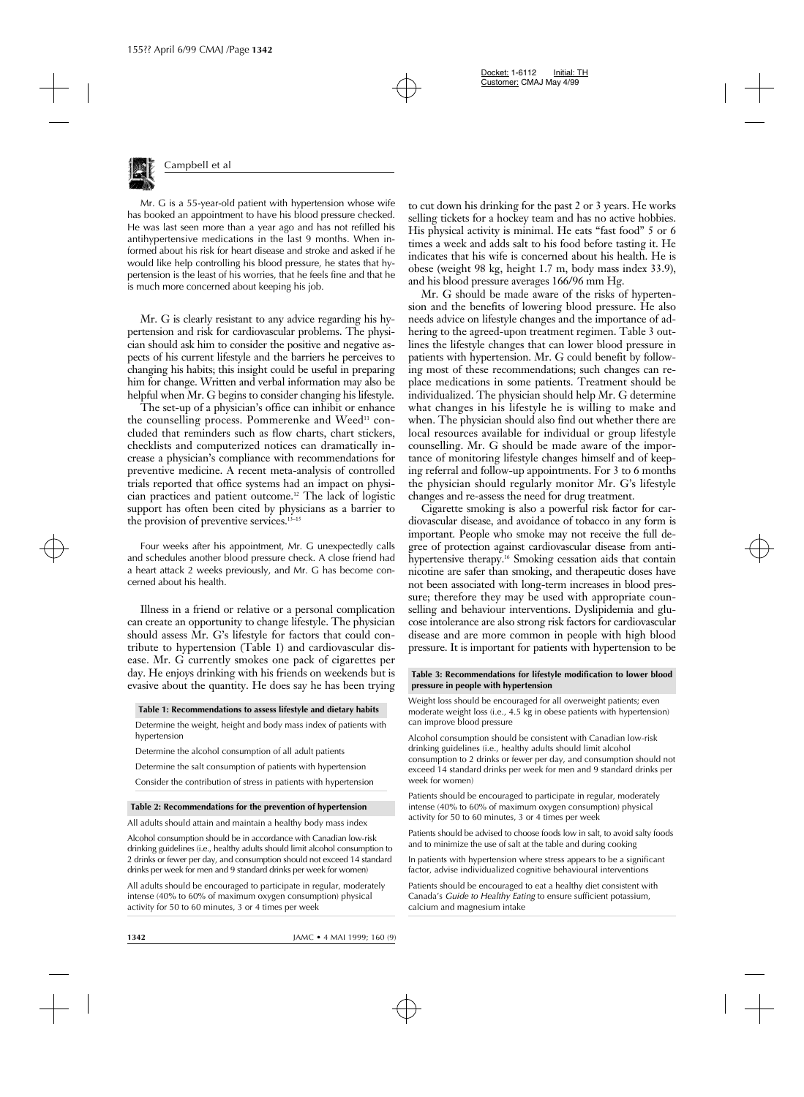

Mr. G is a 55-year-old patient with hypertension whose wife has booked an appointment to have his blood pressure checked. He was last seen more than a year ago and has not refilled his antihypertensive medications in the last 9 months. When informed about his risk for heart disease and stroke and asked if he would like help controlling his blood pressure, he states that hypertension is the least of his worries, that he feels fine and that he is much more concerned about keeping his job.

Mr. G is clearly resistant to any advice regarding his hypertension and risk for cardiovascular problems. The physician should ask him to consider the positive and negative aspects of his current lifestyle and the barriers he perceives to changing his habits; this insight could be useful in preparing him for change. Written and verbal information may also be helpful when Mr. G begins to consider changing his lifestyle.

The set-up of a physician's office can inhibit or enhance the counselling process. Pommerenke and  $Wed^{\mu}$  concluded that reminders such as flow charts, chart stickers, checklists and computerized notices can dramatically increase a physician's compliance with recommendations for preventive medicine. A recent meta-analysis of controlled trials reported that office systems had an impact on physician practices and patient outcome.12 The lack of logistic support has often been cited by physicians as a barrier to the provision of preventive services.13–15

Four weeks after his appointment, Mr. G unexpectedly calls and schedules another blood pressure check. A close friend had a heart attack 2 weeks previously, and Mr. G has become concerned about his health.

Illness in a friend or relative or a personal complication can create an opportunity to change lifestyle. The physician should assess Mr. G's lifestyle for factors that could contribute to hypertension (Table 1) and cardiovascular disease. Mr. G currently smokes one pack of cigarettes per day. He enjoys drinking with his friends on weekends but is evasive about the quantity. He does say he has been trying

#### **Table 1: Recommendations to assess lifestyle and dietary habits**

Determine the weight, height and body mass index of patients with hypertension

Determine the alcohol consumption of all adult patients

Determine the salt consumption of patients with hypertension

Consider the contribution of stress in patients with hypertension

#### **Table 2: Recommendations for the prevention of hypertension**

All adults should attain and maintain a healthy body mass index

Alcohol consumption should be in accordance with Canadian low-risk drinking guidelines (i.e., healthy adults should limit alcohol consumption to 2 drinks or fewer per day, and consumption should not exceed 14 standard drinks per week for men and 9 standard drinks per week for women)

All adults should be encouraged to participate in regular, moderately intense (40% to 60% of maximum oxygen consumption) physical activity for 50 to 60 minutes, 3 or 4 times per week

to cut down his drinking for the past 2 or 3 years. He works selling tickets for a hockey team and has no active hobbies. His physical activity is minimal. He eats "fast food" 5 or 6 times a week and adds salt to his food before tasting it. He indicates that his wife is concerned about his health. He is obese (weight 98 kg, height 1.7 m, body mass index 33.9), and his blood pressure averages 166/96 mm Hg.

Mr. G should be made aware of the risks of hypertension and the benefits of lowering blood pressure. He also needs advice on lifestyle changes and the importance of adhering to the agreed-upon treatment regimen. Table 3 outlines the lifestyle changes that can lower blood pressure in patients with hypertension. Mr. G could benefit by following most of these recommendations; such changes can replace medications in some patients. Treatment should be individualized. The physician should help Mr. G determine what changes in his lifestyle he is willing to make and when. The physician should also find out whether there are local resources available for individual or group lifestyle counselling. Mr. G should be made aware of the importance of monitoring lifestyle changes himself and of keeping referral and follow-up appointments. For 3 to 6 months the physician should regularly monitor Mr. G's lifestyle changes and re-assess the need for drug treatment.

Cigarette smoking is also a powerful risk factor for cardiovascular disease, and avoidance of tobacco in any form is important. People who smoke may not receive the full degree of protection against cardiovascular disease from antihypertensive therapy.<sup>16</sup> Smoking cessation aids that contain nicotine are safer than smoking, and therapeutic doses have not been associated with long-term increases in blood pressure; therefore they may be used with appropriate counselling and behaviour interventions. Dyslipidemia and glucose intolerance are also strong risk factors for cardiovascular disease and are more common in people with high blood pressure. It is important for patients with hypertension to be

#### **Table 3: Recommendations for lifestyle modification to lower blood pressure in people with hypertension**

Weight loss should be encouraged for all overweight patients; even moderate weight loss (i.e., 4.5 kg in obese patients with hypertension) can improve blood pressure

Alcohol consumption should be consistent with Canadian low-risk drinking guidelines (i.e., healthy adults should limit alcohol consumption to 2 drinks or fewer per day, and consumption should not exceed 14 standard drinks per week for men and 9 standard drinks per week for women)

Patients should be encouraged to participate in regular, moderately intense (40% to 60% of maximum oxygen consumption) physical activity for 50 to 60 minutes, 3 or 4 times per week

Patients should be advised to choose foods low in salt, to avoid salty foods and to minimize the use of salt at the table and during cooking

In patients with hypertension where stress appears to be a significant factor, advise individualized cognitive behavioural interventions

Patients should be encouraged to eat a healthy diet consistent with Canada's *Guide to Healthy Eating* to ensure sufficient potassium, calcium and magnesium intake